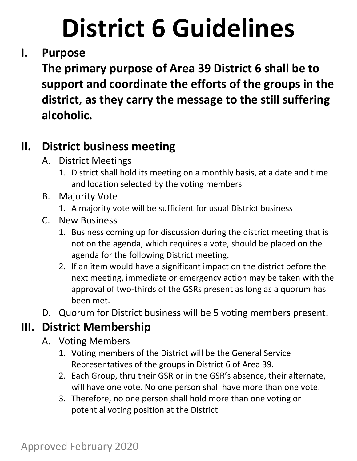## **I. Purpose**

**The primary purpose of Area 39 District 6 shall be to support and coordinate the efforts of the groups in the district, as they carry the message to the still suffering alcoholic.**

## **II. District business meeting**

- A. District Meetings
	- 1. District shall hold its meeting on a monthly basis, at a date and time and location selected by the voting members
- B. Majority Vote
	- 1. A majority vote will be sufficient for usual District business
- C. New Business
	- 1. Business coming up for discussion during the district meeting that is not on the agenda, which requires a vote, should be placed on the agenda for the following District meeting.
	- 2. If an item would have a significant impact on the district before the next meeting, immediate or emergency action may be taken with the approval of two‐thirds of the GSRs present as long as a quorum has been met.
- D. Quorum for District business will be 5 voting members present.

## **III. District Membership**

- A. Voting Members
	- 1. Voting members of the District will be the General Service Representatives of the groups in District 6 of Area 39.
	- 2. Each Group, thru their GSR or in the GSR's absence, their alternate, will have one vote. No one person shall have more than one vote.
	- 3. Therefore, no one person shall hold more than one voting or potential voting position at the District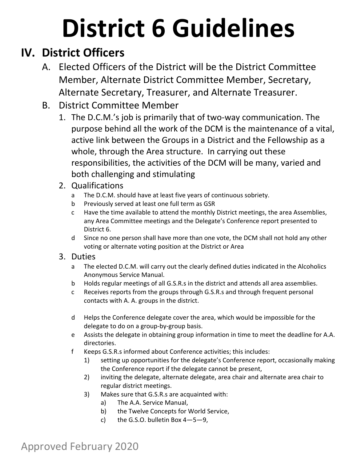## **IV. District Officers**

- A. Elected Officers of the District will be the District Committee Member, Alternate District Committee Member, Secretary, Alternate Secretary, Treasurer, and Alternate Treasurer.
- B. District Committee Member
	- 1. The D.C.M.'s job is primarily that of two‐way communication. The purpose behind all the work of the DCM is the maintenance of a vital, active link between the Groups in a District and the Fellowship as a whole, through the Area structure. In carrying out these responsibilities, the activities of the DCM will be many, varied and both challenging and stimulating
	- 2. Qualifications
		- a The D.C.M. should have at least five years of continuous sobriety.
		- b Previously served at least one full term as GSR
		- c Have the time available to attend the monthly District meetings, the area Assemblies, any Area Committee meetings and the Delegate's Conference report presented to District 6.
		- d Since no one person shall have more than one vote, the DCM shall not hold any other voting or alternate voting position at the District or Area
	- 3. Duties
		- a The elected D.C.M. will carry out the clearly defined duties indicated in the Alcoholics Anonymous Service Manual.
		- b Holds regular meetings of all G.S.R.s in the district and attends all area assemblies.
		- c Receives reports from the groups through G.S.R.s and through frequent personal contacts with A. A. groups in the district.
		- d Helps the Conference delegate cover the area, which would be impossible for the delegate to do on a group‐by‐group basis.
		- e Assists the delegate in obtaining group information in time to meet the deadline for A.A. directories.
		- f Keeps G.S.R.s informed about Conference activities; this includes:
			- 1) setting up opportunities for the delegate's Conference report, occasionally making the Conference report if the delegate cannot be present,
			- 2) inviting the delegate, alternate delegate, area chair and alternate area chair to regular district meetings.
			- 3) Makes sure that G.S.R.s are acquainted with:
				- a) The A.A. Service Manual,
				- b) the Twelve Concepts for World Service,
				- c) the G.S.O. bulletin Box  $4-5-9$ ,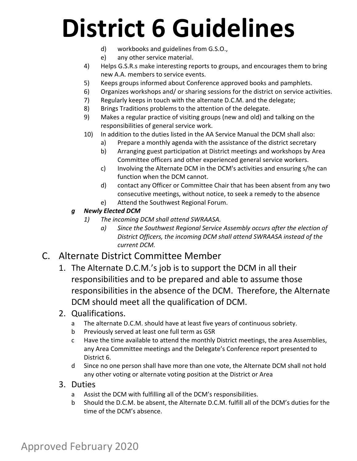- d) workbooks and guidelines from G.S.O.,
- e) any other service material.
- 4) Helps G.S.R.s make interesting reports to groups, and encourages them to bring new A.A. members to service events.
- 5) Keeps groups informed about Conference approved books and pamphlets.
- 6) Organizes workshops and/ or sharing sessions for the district on service activities.
- 7) Regularly keeps in touch with the alternate D.C.M. and the delegate;
- 8) Brings Traditions problems to the attention of the delegate.
- 9) Makes a regular practice of visiting groups (new and old) and talking on the responsibilities of general service work.
- 10) In addition to the duties listed in the AA Service Manual the DCM shall also:
	- a) Prepare a monthly agenda with the assistance of the district secretary
	- b) Arranging guest participation at District meetings and workshops by Area Committee officers and other experienced general service workers.
	- c) Involving the Alternate DCM in the DCM's activities and ensuring s/he can function when the DCM cannot.
	- d) contact any Officer or Committee Chair that has been absent from any two consecutive meetings, without notice, to seek a remedy to the absence
	- e) Attend the Southwest Regional Forum.
- *g Newly Elected DCM* 
	- *1) The incoming DCM shall attend SWRAASA.* 
		- *a) Since the Southwest Regional Service Assembly occurs after the election of District Officers, the incoming DCM shall attend SWRAASA instead of the current DCM.*

#### C. Alternate District Committee Member

1. The Alternate D.C.M.'s job is to support the DCM in all their responsibilities and to be prepared and able to assume those responsibilities in the absence of the DCM. Therefore, the Alternate DCM should meet all the qualification of DCM.

#### 2. Qualifications.

- a The alternate D.C.M. should have at least five years of continuous sobriety.
- b Previously served at least one full term as GSR
- c Have the time available to attend the monthly District meetings, the area Assemblies, any Area Committee meetings and the Delegate's Conference report presented to District 6.
- d Since no one person shall have more than one vote, the Alternate DCM shall not hold any other voting or alternate voting position at the District or Area

#### 3. Duties

- a Assist the DCM with fulfilling all of the DCM's responsibilities.
- b Should the D.C.M. be absent, the Alternate D.C.M. fulfill all of the DCM's duties for the time of the DCM's absence.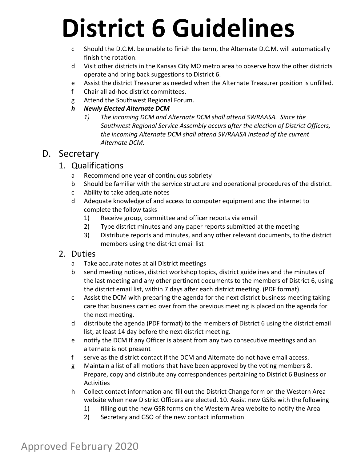- c Should the D.C.M. be unable to finish the term, the Alternate D.C.M. will automatically finish the rotation.
- d Visit other districts in the Kansas City MO metro area to observe how the other districts operate and bring back suggestions to District 6.
- e Assist the district Treasurer as needed when the Alternate Treasurer position is unfilled.
- f Chair all ad‐hoc district committees.
- g Attend the Southwest Regional Forum.
- *h Newly Elected Alternate DCM* 
	- *1) The incoming DCM and Alternate DCM shall attend SWRAASA. Since the Southwest Regional Service Assembly occurs after the election of District Officers, the incoming Alternate DCM shall attend SWRAASA instead of the current Alternate DCM.*

### D. Secretary

#### 1. Qualifications

- a Recommend one year of continuous sobriety
- b Should be familiar with the service structure and operational procedures of the district.
- c Ability to take adequate notes
- d Adequate knowledge of and access to computer equipment and the internet to complete the follow tasks
	- 1) Receive group, committee and officer reports via email
	- 2) Type district minutes and any paper reports submitted at the meeting
	- 3) Distribute reports and minutes, and any other relevant documents, to the district members using the district email list

### 2. Duties

- a Take accurate notes at all District meetings
- b send meeting notices, district workshop topics, district guidelines and the minutes of the last meeting and any other pertinent documents to the members of District 6, using the district email list, within 7 days after each district meeting. (PDF format).
- c Assist the DCM with preparing the agenda for the next district business meeting taking care that business carried over from the previous meeting is placed on the agenda for the next meeting.
- d distribute the agenda (PDF format) to the members of District 6 using the district email list, at least 14 day before the next district meeting.
- e notify the DCM If any Officer is absent from any two consecutive meetings and an alternate is not present
- f serve as the district contact if the DCM and Alternate do not have email access.
- g Maintain a list of all motions that have been approved by the voting members 8. Prepare, copy and distribute any correspondences pertaining to District 6 Business or **Activities**
- h Collect contact information and fill out the District Change form on the Western Area website when new District Officers are elected. 10. Assist new GSRs with the following
	- 1) filling out the new GSR forms on the Western Area website to notify the Area
	- 2) Secretary and GSO of the new contact information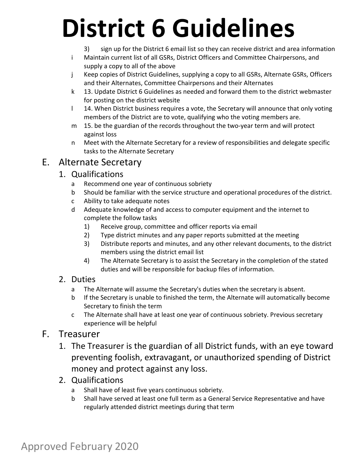- 3) sign up for the District 6 email list so they can receive district and area information
- i Maintain current list of all GSRs, District Officers and Committee Chairpersons, and supply a copy to all of the above
- j Keep copies of District Guidelines, supplying a copy to all GSRs, Alternate GSRs, Officers and their Alternates, Committee Chairpersons and their Alternates
- k 13. Update District 6 Guidelines as needed and forward them to the district webmaster for posting on the district website
- 1 14. When District business requires a vote, the Secretary will announce that only voting members of the District are to vote, qualifying who the voting members are.
- m 15. be the guardian of the records throughout the two-year term and will protect against loss
- n Meet with the Alternate Secretary for a review of responsibilities and delegate specific tasks to the Alternate Secretary

### E. Alternate Secretary

#### 1. Qualifications

- a Recommend one year of continuous sobriety
- b Should be familiar with the service structure and operational procedures of the district.
- c Ability to take adequate notes
- d Adequate knowledge of and access to computer equipment and the internet to complete the follow tasks
	- 1) Receive group, committee and officer reports via email
	- 2) Type district minutes and any paper reports submitted at the meeting
	- 3) Distribute reports and minutes, and any other relevant documents, to the district members using the district email list
	- 4) The Alternate Secretary is to assist the Secretary in the completion of the stated duties and will be responsible for backup files of information.

#### 2. Duties

- a The Alternate will assume the Secretary's duties when the secretary is absent.
- b If the Secretary is unable to finished the term, the Alternate will automatically become Secretary to finish the term
- c The Alternate shall have at least one year of continuous sobriety. Previous secretary experience will be helpful

#### F. Treasurer

- 1. The Treasurer is the guardian of all District funds, with an eye toward preventing foolish, extravagant, or unauthorized spending of District money and protect against any loss.
- 2. Qualifications
	- a Shall have of least five years continuous sobriety.
	- b Shall have served at least one full term as a General Service Representative and have regularly attended district meetings during that term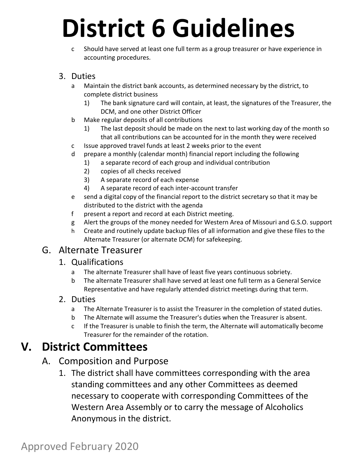c Should have served at least one full term as a group treasurer or have experience in accounting procedures.

#### 3. Duties

- a Maintain the district bank accounts, as determined necessary by the district, to complete district business
	- 1) The bank signature card will contain, at least, the signatures of the Treasurer, the DCM, and one other District Officer
- b Make regular deposits of all contributions
	- 1) The last deposit should be made on the next to last working day of the month so that all contributions can be accounted for in the month they were received
- c Issue approved travel funds at least 2 weeks prior to the event
- d prepare a monthly (calendar month) financial report including the following
	- 1) a separate record of each group and individual contribution
	- 2) copies of all checks received
	- 3) A separate record of each expense
	- 4) A separate record of each inter‐account transfer
- e send a digital copy of the financial report to the district secretary so that it may be distributed to the district with the agenda
- f present a report and record at each District meeting.
- g Alert the groups of the money needed for Western Area of Missouri and G.S.O. support
- h Create and routinely update backup files of all information and give these files to the Alternate Treasurer (or alternate DCM) for safekeeping.

#### G. Alternate Treasurer

#### 1. Qualifications

- a The alternate Treasurer shall have of least five years continuous sobriety.
- b The alternate Treasurer shall have served at least one full term as a General Service Representative and have regularly attended district meetings during that term.

#### 2. Duties

- a The Alternate Treasurer is to assist the Treasurer in the completion of stated duties.
- b The Alternate will assume the Treasurer's duties when the Treasurer is absent.
- c If the Treasurer is unable to finish the term, the Alternate will automatically become Treasurer for the remainder of the rotation.

### **V. District Committees**

### A. Composition and Purpose

1. The district shall have committees corresponding with the area standing committees and any other Committees as deemed necessary to cooperate with corresponding Committees of the Western Area Assembly or to carry the message of Alcoholics Anonymous in the district.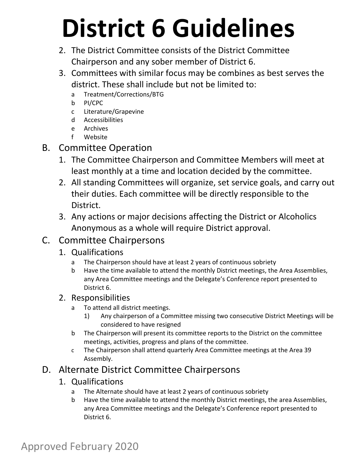- 2. The District Committee consists of the District Committee Chairperson and any sober member of District 6.
- 3. Committees with similar focus may be combines as best serves the district. These shall include but not be limited to:
	- a Treatment/Corrections/BTG
	- b PI/CPC
	- c Literature/Grapevine
	- d Accessibilities
	- e Archives
	- f Website
- B. Committee Operation
	- 1. The Committee Chairperson and Committee Members will meet at least monthly at a time and location decided by the committee.
	- 2. All standing Committees will organize, set service goals, and carry out their duties. Each committee will be directly responsible to the District.
	- 3. Any actions or major decisions affecting the District or Alcoholics Anonymous as a whole will require District approval.

### C. Committee Chairpersons

- 1. Qualifications
	- a The Chairperson should have at least 2 years of continuous sobriety
	- b Have the time available to attend the monthly District meetings, the Area Assemblies, any Area Committee meetings and the Delegate's Conference report presented to District 6.

#### 2. Responsibilities

- a To attend all district meetings.
	- 1) Any chairperson of a Committee missing two consecutive District Meetings will be considered to have resigned
- b The Chairperson will present its committee reports to the District on the committee meetings, activities, progress and plans of the committee.
- c The Chairperson shall attend quarterly Area Committee meetings at the Area 39 Assembly.

### D. Alternate District Committee Chairpersons

- 1. Qualifications
	- a The Alternate should have at least 2 years of continuous sobriety
	- b Have the time available to attend the monthly District meetings, the area Assemblies, any Area Committee meetings and the Delegate's Conference report presented to District 6.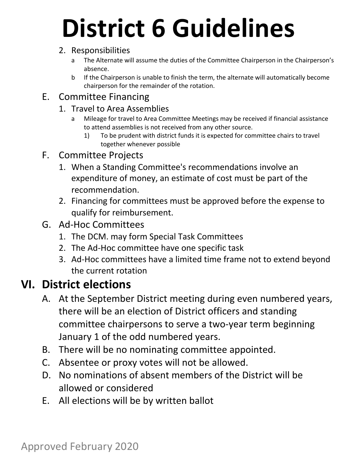#### 2. Responsibilities

- a The Alternate will assume the duties of the Committee Chairperson in the Chairperson's absence.
- b If the Chairperson is unable to finish the term, the alternate will automatically become chairperson for the remainder of the rotation.

### E. Committee Financing

- 1. Travel to Area Assemblies
	- a Mileage for travel to Area Committee Meetings may be received if financial assistance to attend assemblies is not received from any other source.
		- 1) To be prudent with district funds it is expected for committee chairs to travel together whenever possible
- F. Committee Projects
	- 1. When a Standing Committee's recommendations involve an expenditure of money, an estimate of cost must be part of the recommendation.
	- 2. Financing for committees must be approved before the expense to qualify for reimbursement.
- G. Ad‐Hoc Committees
	- 1. The DCM. may form Special Task Committees
	- 2. The Ad‐Hoc committee have one specific task
	- 3. Ad‐Hoc committees have a limited time frame not to extend beyond the current rotation

### **VI. District elections**

- A. At the September District meeting during even numbered years, there will be an election of District officers and standing committee chairpersons to serve a two‐year term beginning January 1 of the odd numbered years.
- B. There will be no nominating committee appointed.
- C. Absentee or proxy votes will not be allowed.
- D. No nominations of absent members of the District will be allowed or considered
- E. All elections will be by written ballot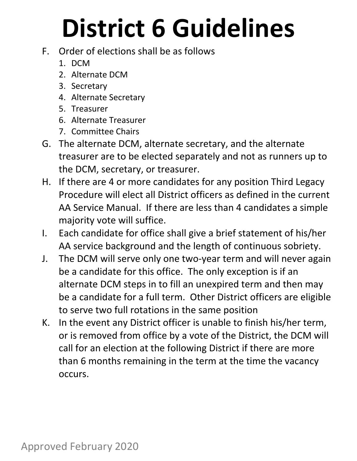- F. Order of elections shall be as follows
	- 1. DCM
	- 2. Alternate DCM
	- 3. Secretary
	- 4. Alternate Secretary
	- 5. Treasurer
	- 6. Alternate Treasurer
	- 7. Committee Chairs
- G. The alternate DCM, alternate secretary, and the alternate treasurer are to be elected separately and not as runners up to the DCM, secretary, or treasurer.
- H. If there are 4 or more candidates for any position Third Legacy Procedure will elect all District officers as defined in the current AA Service Manual. If there are less than 4 candidates a simple majority vote will suffice.
- I. Each candidate for office shall give a brief statement of his/her AA service background and the length of continuous sobriety.
- J. The DCM will serve only one two‐year term and will never again be a candidate for this office. The only exception is if an alternate DCM steps in to fill an unexpired term and then may be a candidate for a full term. Other District officers are eligible to serve two full rotations in the same position
- K. In the event any District officer is unable to finish his/her term, or is removed from office by a vote of the District, the DCM will call for an election at the following District if there are more than 6 months remaining in the term at the time the vacancy occurs.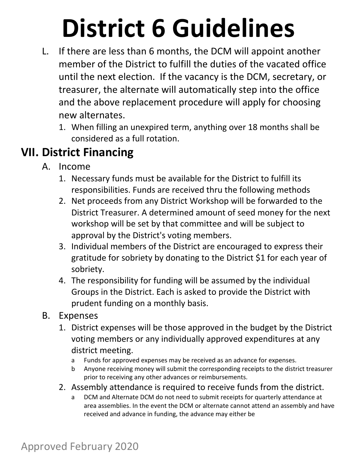- L. If there are less than 6 months, the DCM will appoint another member of the District to fulfill the duties of the vacated office until the next election. If the vacancy is the DCM, secretary, or treasurer, the alternate will automatically step into the office and the above replacement procedure will apply for choosing new alternates.
	- 1. When filling an unexpired term, anything over 18 months shall be considered as a full rotation.

## **VII. District Financing**

- A. Income
	- 1. Necessary funds must be available for the District to fulfill its responsibilities. Funds are received thru the following methods
	- 2. Net proceeds from any District Workshop will be forwarded to the District Treasurer. A determined amount of seed money for the next workshop will be set by that committee and will be subject to approval by the District's voting members.
	- 3. Individual members of the District are encouraged to express their gratitude for sobriety by donating to the District \$1 for each year of sobriety.
	- 4. The responsibility for funding will be assumed by the individual Groups in the District. Each is asked to provide the District with prudent funding on a monthly basis.
- B. Expenses
	- 1. District expenses will be those approved in the budget by the District voting members or any individually approved expenditures at any district meeting.
		- a Funds for approved expenses may be received as an advance for expenses.
		- b Anyone receiving money will submit the corresponding receipts to the district treasurer prior to receiving any other advances or reimbursements.
	- 2. Assembly attendance is required to receive funds from the district.
		- a DCM and Alternate DCM do not need to submit receipts for quarterly attendance at area assemblies. In the event the DCM or alternate cannot attend an assembly and have received and advance in funding, the advance may either be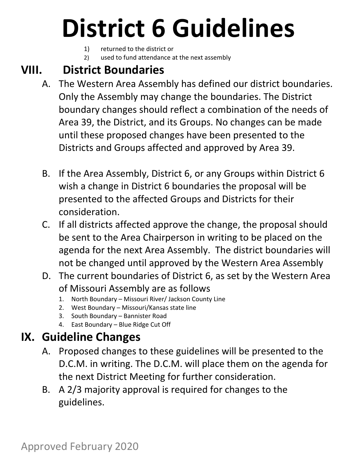- 1) returned to the district or
- 2) used to fund attendance at the next assembly

## **VIII. District Boundaries**

- A. The Western Area Assembly has defined our district boundaries. Only the Assembly may change the boundaries. The District boundary changes should reflect a combination of the needs of Area 39, the District, and its Groups. No changes can be made until these proposed changes have been presented to the Districts and Groups affected and approved by Area 39.
- B. If the Area Assembly, District 6, or any Groups within District 6 wish a change in District 6 boundaries the proposal will be presented to the affected Groups and Districts for their consideration.
- C. If all districts affected approve the change, the proposal should be sent to the Area Chairperson in writing to be placed on the agenda for the next Area Assembly. The district boundaries will not be changed until approved by the Western Area Assembly
- D. The current boundaries of District 6, as set by the Western Area of Missouri Assembly are as follows
	- 1. North Boundary Missouri River/ Jackson County Line
	- 2. West Boundary Missouri/Kansas state line
	- 3. South Boundary Bannister Road
	- 4. East Boundary Blue Ridge Cut Off

## **IX. Guideline Changes**

- A. Proposed changes to these guidelines will be presented to the D.C.M. in writing. The D.C.M. will place them on the agenda for the next District Meeting for further consideration.
- B. A 2/3 majority approval is required for changes to the guidelines.